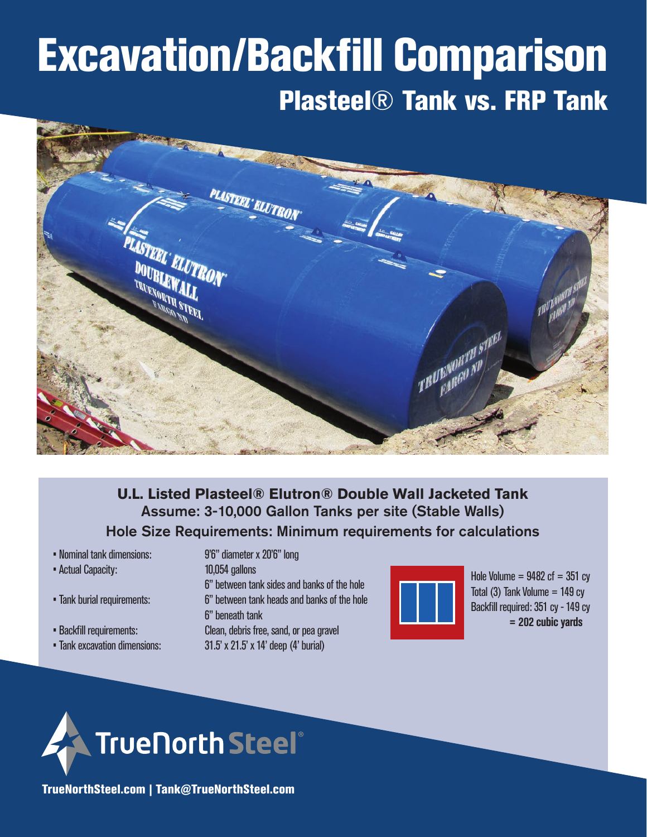# Excavation/Backfill Comparison Plasteel® Tank vs. FRP Tank



## **U.L. Listed Plasteel® Elutron® Double Wall Jacketed Tank** Assume: 3-10,000 Gallon Tanks per site (Stable Walls) Hole Size Requirements: Minimum requirements for calculations

• Nominal tank dimensions: 9'6" diameter x 20'6" long

- Actual Capacity: 10,054 gallons
- 
- 
- 

 6" between tank sides and banks of the hole • Tank burial requirements: 6" between tank heads and banks of the hole 6" beneath tank • Backfill requirements: Clean, debris free, sand, or pea gravel • Tank excavation dimensions: 31.5' x 21.5' x 14' deep (4' burial)



Hole Volume =  $9482$  cf =  $351$  cy Total  $(3)$  Tank Volume = 149 cy Backfill required: 351 cy - 149 cy **= 202 cubic yards**



TrueNorthSteel.com | Tank@TrueNorthSteel.com